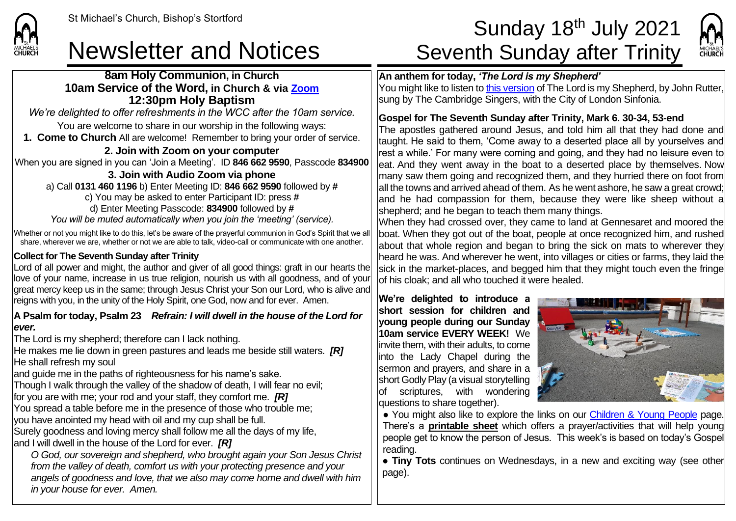

### **8am Holy Communion, in Church 10am Service of the Word, in Church & via [Zoom](https://zoom.us/) 12:30pm Holy Baptism**

*We're delighted to offer refreshments in the WCC after the 10am service.* You are welcome to share in our worship in the following ways: **1. Come to Church** All are welcome! Remember to bring your order of service.

**2. Join with Zoom on your computer** When you are signed in you can 'Join a Meeting'. ID **846 662 9590**, Passcode **834900**

**3. Join with Audio Zoom via phone**  a) Call **0131 460 1196** b) Enter Meeting ID: **846 662 9590** followed by **#** c) You may be asked to enter Participant ID: press **#** d) Enter Meeting Passcode: **834900** followed by **#** *You will be muted automatically when you join the 'meeting' (service).*

Whether or not you might like to do this, let's be aware of the prayerful communion in God's Spirit that we all share, wherever we are, whether or not we are able to talk, video-call or communicate with one another.

### **Collect for The Seventh Sunday after Trinity**

Lord of all power and might, the author and giver of all good things: graft in our hearts the love of your name, increase in us true religion, nourish us with all goodness, and of your great mercy keep us in the same; through Jesus Christ your Son our Lord, who is alive and reigns with you, in the unity of the Holy Spirit, one God, now and for ever. Amen.

### **A Psalm for today, Psalm 23** *Refrain: I will dwell in the house of the Lord for ever.*

The Lord is my shepherd; therefore can I lack nothing.

He makes me lie down in green pastures and leads me beside still waters. *[R]* He shall refresh my soul

and guide me in the paths of righteousness for his name's sake.

Though I walk through the valley of the shadow of death, I will fear no evil; for you are with me; your rod and your staff, they comfort me. *[R]*

You spread a table before me in the presence of those who trouble me;

you have anointed my head with oil and my cup shall be full.

Surely goodness and loving mercy shall follow me all the days of my life, and I will dwell in the house of the Lord for ever. *[R]*

*O God, our sovereign and shepherd, who brought again your Son Jesus Christ from the valley of death, comfort us with your protecting presence and your angels of goodness and love, that we also may come home and dwell with him in your house for ever. Amen.*

# St Michael's Church, Bishop's Stortford  $\textsf{Sunday 18}^{\textsf{th}}$  July 2021 Newsletter and Notices Seventh Sunday after Trinity



**An anthem for today,** *'The Lord is my Shepherd'*

You might like to listen to [this version](https://www.youtube.com/watch?v=COiQRI4dUjE) of The Lord is my Shepherd, by John Rutter, sung by The Cambridge Singers, with the City of London Sinfonia.

## **Gospel for The Seventh Sunday after Trinity, Mark 6. 30-34, 53-end**

The apostles gathered around Jesus, and told him all that they had done and taught. He said to them, 'Come away to a deserted place all by yourselves and rest a while.' For many were coming and going, and they had no leisure even to eat. And they went away in the boat to a deserted place by themselves. Now many saw them going and recognized them, and they hurried there on foot from all the towns and arrived ahead of them. As he went ashore, he saw a great crowd; and he had compassion for them, because they were like sheep without a shepherd; and he began to teach them many things.

When they had crossed over, they came to land at Gennesaret and moored the boat. When they got out of the boat, people at once recognized him, and rushed about that whole region and began to bring the sick on mats to wherever they heard he was. And wherever he went, into villages or cities or farms, they laid the sick in the market-places, and begged him that they might touch even the fringe of his cloak; and all who touched it were healed.

**We're delighted to introduce a short session for children and young people during our Sunday 10am service EVERY WEEK!** We invite them, with their adults, to come into the Lady Chapel during the sermon and prayers, and share in a short Godly Play (a visual storytelling of scriptures, with wondering questions to share together).



• You might also like to explore the links on our [Children & Young People](https://saintmichaelweb.org.uk/Groups/310496/Children_and_Young.aspx) page. There's a **[printable sheet](https://saintmichaelweb.org.uk/Groups/310496/Children_and_Young.aspx)** which offers a prayer/activities that will help young people get to know the person of Jesus. This week's is based on today's Gospel reading.

● **Tiny Tots** continues on Wednesdays, in a new and exciting way (see other page).